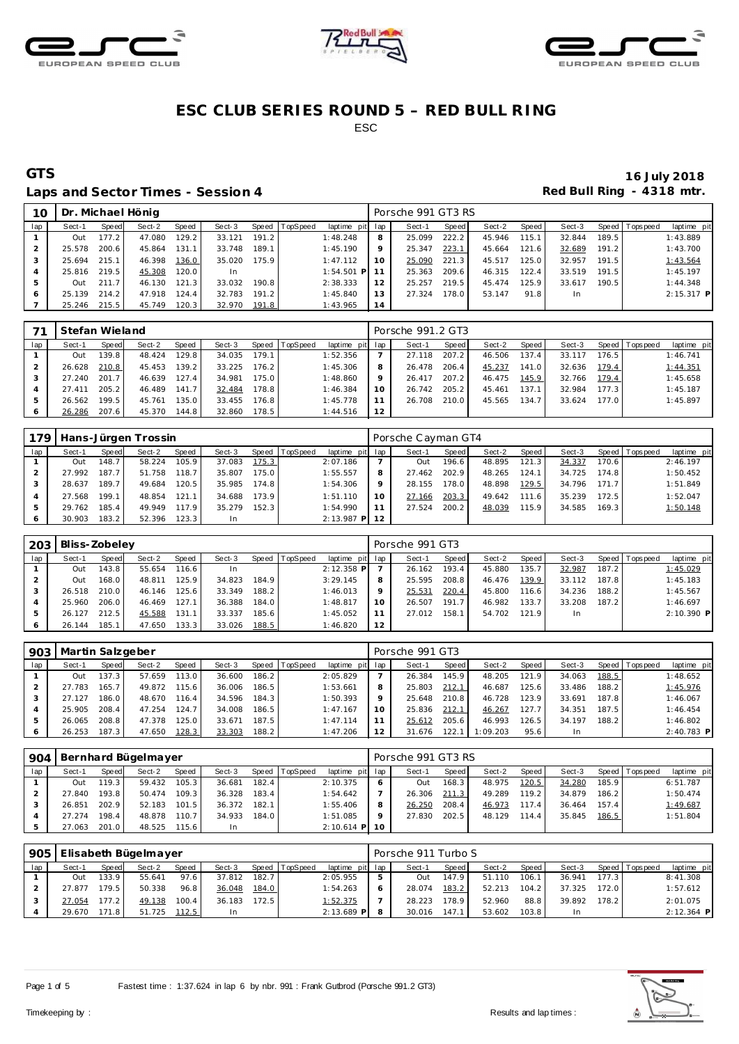





### Laps and Sector Times - Session 4 *Red Bull Ring - 4318 mtr.*

| 10  |        |                        | Dr. Michael Hönig |       |        |         |          |                 |     | Porsche 991 GT3 RS |       |        |       |           |       |                |              |
|-----|--------|------------------------|-------------------|-------|--------|---------|----------|-----------------|-----|--------------------|-------|--------|-------|-----------|-------|----------------|--------------|
| lap | Sect-1 | Speed                  | Sect-2            | Speed | Sect-3 | Speed I | TopSpeed | laptime pit     | lap | Sect-1             | Speed | Sect-2 | Speed | Sect-3    |       | Speed Topspeed | laptime pit  |
|     | Out    | 177.2                  | 47.080            | 129.2 | 33.121 | 191.2   |          | 1:48.248        | 8   | 25.099             | 222.2 | 45.946 | 115.1 | 32.844    | 189.5 |                | 1:43.889     |
|     | 25.578 | 200.6                  | 45.864            | 131.1 | 33.748 | 189.1   |          | 1:45.190        | 9   | 25.347             | 223.1 | 45.664 | 121.6 | 32.689    | 191.2 |                | 1:43.700     |
|     | 25.694 | 215.1                  | 46.398            | 136.0 | 35.020 | 175.9   |          | 1:47.112        | 10  | 25.090             | 221.3 | 45.517 | 125.0 | 32.957    | 191.5 |                | 1:43.564     |
|     | 25.816 | 219.5                  | 45.308            | 120.0 | In.    |         |          | $1:54.501$ P 11 |     | 25.363             | 209.6 | 46.315 | 122.4 | 33.519    | 191.5 |                | 1:45.197     |
|     | Out    | $\overline{7}$<br>211. | 46.130            | 121.3 | 33.032 | 190.8   |          | 2:38.333        | 12  | 25.257             | 219.5 | 45.474 | 125.9 | 33.617    | 190.5 |                | 1:44.348     |
|     | 25.139 | 214.2                  | 47.918            | 124.4 | 32.783 | 191.2   |          | 1:45.840        | 13  | 27.324             | 178.0 | 53.147 | 91.8  | <b>In</b> |       |                | $2:15.317$ P |
|     | 25.246 | 215.5                  | 45.749            | 120.3 | 32.970 | 191.8   |          | 1:43.965        | 14  |                    |       |        |       |           |       |                |              |

|     | Stefan Wieland |       |        |       |        |       |                  |                 |    | Porsche 991.2 GT3 |       |        |       |        |       |                |             |
|-----|----------------|-------|--------|-------|--------|-------|------------------|-----------------|----|-------------------|-------|--------|-------|--------|-------|----------------|-------------|
| lap | Sect-1         | Speed | Sect-2 | Speed | Sect-3 |       | Speed   TopSpeed | laptime pit lap |    | Sect-1            | Speed | Sect-2 | Speed | Sect-3 |       | Speed Topspeed | laptime pit |
|     | Out            | 139.8 | 48.424 | 129.8 | 34.035 | 179.1 |                  | 1:52.356        |    | 27.118            | 207.2 | 46.506 | 137.4 | 33.117 | 176.5 |                | 1:46.741    |
|     | 26.628         | 210.8 | 45.453 | 139.2 | 33.225 | 176.2 |                  | 1:45.306        |    | 26.478            | 206.4 | 45.237 | 141.0 | 32.636 | 179.4 |                | 1:44.351    |
|     | 27.240         | 201.7 | 46.639 | 127.4 | 34.981 | 175.0 |                  | 1:48.860        |    | 26.417            | 207.2 | 46.475 | 145.9 | 32.766 | 179.4 |                | 1:45.658    |
|     | 27.411         | 205.2 | 46.489 | 141.7 | 32.484 | 178.8 |                  | 1:46.384        | 10 | 26.742            | 205.2 | 45.461 | 137.1 | 32.984 | 177.3 |                | 1:45.187    |
|     | 26.562         | 199.5 | 45.761 | 135.0 | 33.455 | 176.8 |                  | 1:45.778        |    | 26.708            | 210.0 | 45.565 | 134.7 | 33.624 | 177.0 |                | 1:45.897    |
|     | 26.286         | 207.6 | 45.370 | 144.8 | 32.860 | 178.5 |                  | 1:44.516        | 12 |                   |       |        |       |        |       |                |             |

| 179 |        |       | Hans-Jürgen Trossin |       |        |       |                |                 |         | Porsche Cayman GT4 |       |        |       |        |       |                 |             |
|-----|--------|-------|---------------------|-------|--------|-------|----------------|-----------------|---------|--------------------|-------|--------|-------|--------|-------|-----------------|-------------|
| lap | Sect-1 | Speed | Sect-2              | Speed | Sect-3 |       | Speed TopSpeed | laptime pit lap |         | Sect-1             | Speed | Sect-2 | Speed | Sect-3 |       | Speed Tops peed | laptime pit |
|     | Out    | 148.7 | 58.224              | 105.9 | 37.083 | 175.3 |                | 2:07.186        |         | Out                | 196.6 | 48.895 | 121.3 | 34.337 | 170.6 |                 | 2:46.197    |
|     | 27.992 | 187.7 | 51.758              | 118.7 | 35.807 | 175.0 |                | 1:55.557        | 8       | 27.462             | 202.9 | 48.265 | 124.1 | 34.725 | 174.8 |                 | 1:50.452    |
|     | 28.637 | 189.7 | 49.684              | 120.5 | 35.985 | 174.8 |                | 1:54.306        | $\circ$ | 28.155             | 178.0 | 48.898 | 129.5 | 34.796 | 171.7 |                 | 1:51.849    |
|     | 27.568 | 199.1 | 48.854              | 121.1 | 34.688 | 173.9 |                | 1:51.110        | 10      | 27.166             | 203.3 | 49.642 | 111.6 | 35.239 | 172.5 |                 | 1:52.047    |
|     | 29.762 | 185.4 | 49.949              | 117.9 | 35.279 | 152.3 |                | 1:54.990        | 11      | 27.524             | 200.2 | 48.039 | 115.9 | 34.585 | 169.3 |                 | 1:50.148    |
|     | 30.903 | 183.2 | 52.396              | 123.3 | In     |       |                | $2:13.987$ P 12 |         |                    |       |        |       |        |       |                 |             |

|     | 203   Bliss-Zobelev |       |        |       |           |       |                |                 |    | Porsche 991 GT3 |       |        |       |        |       |                 |             |
|-----|---------------------|-------|--------|-------|-----------|-------|----------------|-----------------|----|-----------------|-------|--------|-------|--------|-------|-----------------|-------------|
| lap | Sect-1              | Speed | Sect-2 | Speed | Sect-3    |       | Speed TopSpeed | laptime pit lap |    | Sect-1          | Speed | Sect-2 | Speed | Sect-3 |       | Speed Tops peed | laptime pit |
|     | Out                 | 43.8  | 55.654 | 116.6 | <b>In</b> |       |                | $2:12.358$ P    |    | 26.162          | 193.4 | 45.880 | 135.7 | 32.987 | 187.2 |                 | 1:45.029    |
|     | Out                 | 168.0 | 48.811 | 125.9 | 34.823    | 184.9 |                | 3:29.145        | 8  | 25.595          | 208.8 | 46.476 | 139.9 | 33.112 | 187.8 |                 | 1:45.183    |
|     | 26.518              | 210.0 | 46.146 | 125.6 | 33.349    | 188.2 |                | 1:46.013        | 9  | 25.531          | 220.4 | 45.800 | 116.6 | 34.236 | 188.2 |                 | 1:45.567    |
|     | 25.960              | 206.0 | 46.469 | 127.1 | 36.388    | 184.0 |                | 1:48.817        | 10 | 26.507          | 191.7 | 46.982 | 133.7 | 33.208 | 187.2 |                 | 1:46.697    |
| 5   | 26.127              | 212.5 | 45.588 | 131.1 | 33.337    | 185.6 |                | 1:45.052        | 11 | 27.012          | 158.1 | 54.702 | 121.9 | In.    |       |                 | 2:10.390 P  |
| 6   | 26.144              | 185.1 | 47.650 | 133.3 | 33.026    | 188.5 |                | 1:46.820        | 12 |                 |       |        |       |        |       |                 |             |

| 903 | Martin Salzgeber |       |        |       |        |       |          |                 |         | Porsche 991 GT3 |       |          |        |        |       |                 |             |
|-----|------------------|-------|--------|-------|--------|-------|----------|-----------------|---------|-----------------|-------|----------|--------|--------|-------|-----------------|-------------|
| lap | Sect-1           | Speed | Sect-2 | Speed | Sect-3 | Speed | TopSpeed | laptime pit lap |         | Sect-1          | Speed | Sect-2   | Speed  | Sect-3 |       | Speed Tops peed | laptime pit |
|     | Out              | 137.3 | 57.659 | 113.0 | 36.600 | 186.2 |          | 2:05.829        |         | 26.384          | 145.9 | 48.205   | 121.9  | 34.063 | 188.5 |                 | 1:48.652    |
|     | 27.783           | 165.7 | 49.872 | 115.6 | 36.006 | 186.5 |          | 1:53.661        | 8       | 25.803          | 212.1 | 46.687   | 125.6  | 33.486 | 188.2 |                 | 1:45.976    |
|     | 27.127           | 186.0 | 48.670 | 116.4 | 34.596 | 184.3 |          | 1:50.393        | $\circ$ | 25.648          | 210.8 | 46.728   | 123.9  | 33.691 | 187.8 |                 | 1:46.067    |
|     | 25.905           | 208.4 | 47.254 | 124.7 | 34.008 | 186.5 |          | 1:47.167        | 10      | 25.836          | 212.1 | 46.267   | 127.7. | 34.351 | 187.5 |                 | 1:46.454    |
|     | 26.065           | 208.8 | 47.378 | 125.0 | 33.671 | 187.5 |          | 1:47.114        |         | 25.612          | 205.6 | 46.993   | 126.5  | 34.197 | 188.2 |                 | 1:46.802    |
|     | 26.253           | 187.3 | 47.650 | 128.3 | 33.303 | 188.2 |          | 1:47.206        | 12      | 31.676          | 122.1 | 1:09.203 | 95.6   | In     |       |                 | 2:40.783 P  |

| 904 |        | l Bernhard Bügelmayer<br>Speed TopSpeed<br>Sect-2<br>Speed<br>Sect-3<br>Sect-1<br>Speed<br>59.432<br>105.3<br>19.3<br>36.681<br>182.4<br>Out |        |       |        |       |  |                 |              | Porsche 991 GT3 RS |       |        |       |        |       |                |             |
|-----|--------|----------------------------------------------------------------------------------------------------------------------------------------------|--------|-------|--------|-------|--|-----------------|--------------|--------------------|-------|--------|-------|--------|-------|----------------|-------------|
| lap |        |                                                                                                                                              |        |       |        |       |  | laptime pit lap |              | Sect-1             | Speed | Sect-2 | Speed | Sect-3 |       | Speed Topspeed | laptime pit |
|     |        |                                                                                                                                              |        |       |        |       |  | 2:10.375        | <sub>6</sub> | Out                | 168.3 | 48.975 | 120.5 | 34.280 | 185.9 |                | 6:51.787    |
|     | 27.840 | 193.8                                                                                                                                        | 50.474 | 109.3 | 36.328 | 183.4 |  | 1:54.642        |              | 26.306             | 211.3 | 49.289 | 119.2 | 34.879 | 186.2 |                | 1:50.474    |
|     | 26.851 | 202.9                                                                                                                                        | 52.183 | 101.5 | 36.372 | 182.1 |  | 1:55.406        | 8            | 26.250             | 208.4 | 46.973 | 117.4 | 36.464 | 157.4 |                | 1:49.687    |
|     | 27.274 | 198.4                                                                                                                                        | 48.878 | 110.7 | 34.933 | 184.0 |  | 1:51.085        | $\circ$      | 27.830             | 202.5 | 48.129 | 114.4 | 35.845 | 186.5 |                | 1:51.804    |
|     | 27.063 | 201.0                                                                                                                                        | 48.525 | 115.6 | 1n     |       |  | $2:10.614$ P 10 |              |                    |       |        |       |        |       |                |             |

| 905 |        |       | Elisabeth Bügelmayer |       |        |       |                |                 | Porsche 911 Turbo S |         |        |       |        |       |                |              |
|-----|--------|-------|----------------------|-------|--------|-------|----------------|-----------------|---------------------|---------|--------|-------|--------|-------|----------------|--------------|
| lap | Sect-1 | Speed | Sect-2               | Speed | Sect-3 |       | Speed TopSpeed | laptime pit lap | Sect-1              | Speed I | Sect-2 | Speed | Sect-3 |       | Speed Topspeed | laptime pit  |
|     | Out    | 133.9 | 55.641               | 97.6  | 37.812 | 182.7 |                | 2:05.955        | Out                 | 147.9   | 51.110 | 106.1 | 36.941 | 177.3 |                | 8:41.308     |
|     | 27.877 | 179.5 | 50.338               | 96.8  | 36.048 | 184.0 |                | 1:54.263        | 28.074              | 183.2   | 52.213 | 104.2 | 37.325 | 172.0 |                | 1:57.612     |
|     | 27.054 | 177.2 | 49.138               | 100.4 | 36.183 | 172.5 |                | 1:52.375        | 28.223              | 178.9   | 52.960 | 88.8  | 39.892 | 178.2 |                | 2:01.075     |
|     | 29.670 | 171.8 | 51.725               | 112.5 | In.    |       |                | $2:13.689$ P    | 30.016              | 147.1   | 53.602 | 103.8 |        |       |                | $2:12.364$ P |



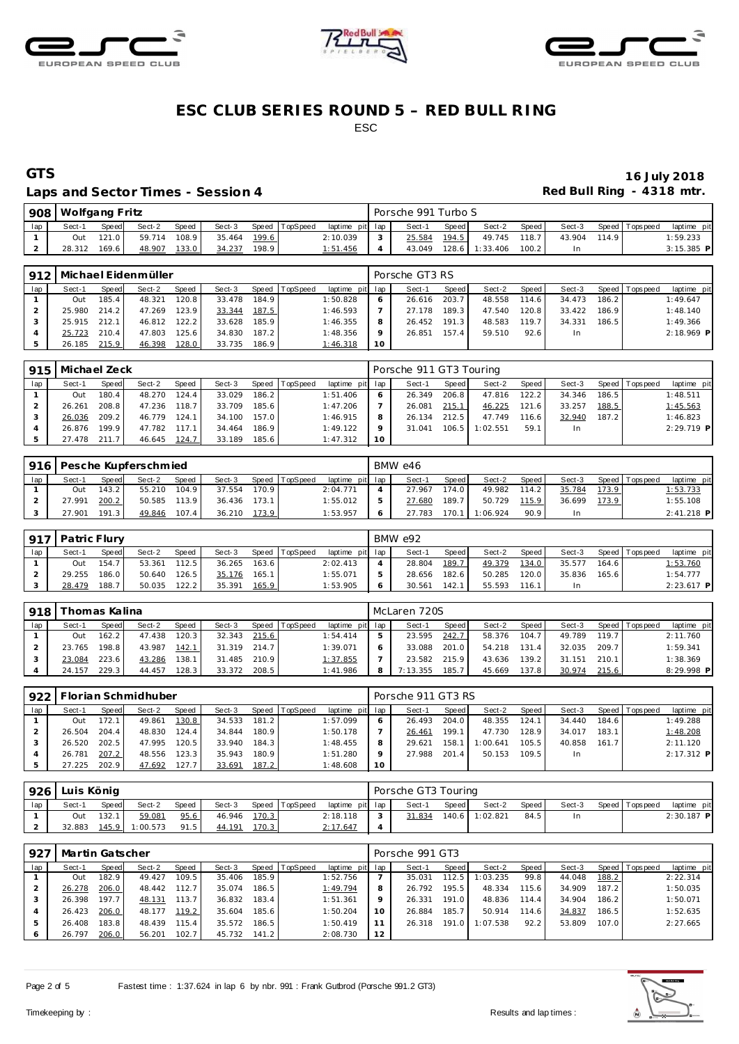





### Laps and Sector Times - Session 4 *Red Bull Ring - 4318 mtr.*

|     | 908   Wolfgang Fritz |       |        |       |        |       |          |                 | Porsche 991 Turbo S |         |          |                    |        |       |                 |              |
|-----|----------------------|-------|--------|-------|--------|-------|----------|-----------------|---------------------|---------|----------|--------------------|--------|-------|-----------------|--------------|
| lap | Sect-1               | Speed | Sect-2 | Speed | Sect-3 | Speed | TopSpeed | laptime pit lap | Sect-1              | Speed I | Sect-2   | Speed I            | Sect-3 |       | Speed Tops peed | laptime pit  |
|     | Out                  | 121.0 | 59.714 | 108.9 | 35.464 | 199.6 |          | 2:10.039        | 25.584              | 194.5   | 49.745   | 118.7 <sup>1</sup> | 43.904 | 114.9 |                 | 1:59.233     |
|     | 28.312               | 169.6 | 48.907 | 133.0 | 34.237 | 198.9 |          | 1:51.456        | 43.049              | 128.6   | 1:33.406 | 100.2              |        |       |                 | $3:15.385$ P |

|     |        |       | 912   Michael Eidenmüller |       |        |       |                |                 |         | Porsche GT3 RS |       |        |       |        |       |                 |              |
|-----|--------|-------|---------------------------|-------|--------|-------|----------------|-----------------|---------|----------------|-------|--------|-------|--------|-------|-----------------|--------------|
| lap | Sect-1 | Speed | Sect-2                    | Speed | Sect-3 |       | Speed TopSpeed | laptime pit lap |         | Sect-1         | Speed | Sect-2 | Speed | Sect-3 |       | Speed Tops peed | laptime pit  |
|     | Out    | 185.4 | 48.321                    | 120.8 | 33.478 | 184.9 |                | 1:50.828        | 6       | 26.616         | 203.7 | 48.558 | 114.6 | 34.473 | 186.2 |                 | 1:49.647     |
|     | 25.980 | 214.2 | 47.269                    | 123.9 | 33.344 | 187.5 |                | 1:46.593        |         | 27.178         | 189.3 | 47.540 | 120.8 | 33.422 | 186.9 |                 | 1:48.140     |
|     | 25.915 | 212.1 | 46.812                    | 122.2 | 33.628 | 185.9 |                | 1:46.355        | 8       | 26.452         | 191.3 | 48.583 | 119.7 | 34.331 | 186.5 |                 | 1:49.366     |
|     | 25.723 | 210.4 | 47.803                    | 125.6 | 34.830 | 187.2 |                | 1:48.356        | $\circ$ | 26.851         | 157.4 | 59.510 | 92.6  | In.    |       |                 | $2:18.969$ P |
|     | 26.185 | 215.9 | 46.398                    | 128.0 | 33.735 | 186.9 |                | 1:46.318        | 10      |                |       |        |       |        |       |                 |              |

|     | 915   Michael Zeck |       |              |       |        |       |                |                 |      | Porsche 911 GT3 Touring |       |                         |       |        |       |                |              |
|-----|--------------------|-------|--------------|-------|--------|-------|----------------|-----------------|------|-------------------------|-------|-------------------------|-------|--------|-------|----------------|--------------|
| lap | Sect-1             | Speed | Sect-2       | Speed | Sect-3 |       | Speed TopSpeed | laptime pit lap |      | Sect-1                  | Speed | Sect-2                  | Speed | Sect-3 |       | Speed Topspeed | laptime pit  |
|     | Out                | 180.4 | 48.270 124.4 |       | 33.029 | 186.2 |                | 1:51.406        | 6    | 26.349                  | 206.8 | 47.816                  | 122.2 | 34.346 | 186.5 |                | 1:48.511     |
|     | 26.261             | 208.8 | 47.236       | 118.7 | 33.709 | 185.6 |                | 1:47.206        |      | 26.081                  | 215.1 | 46.225                  | 121.6 | 33.257 | 188.5 |                | 1:45.563     |
|     | 26.036             | 209.2 | 46.779 124.1 |       | 34.100 | 157.0 |                | 1:46.915        | -8   | 26.134                  | 212.5 | 47.749                  | 116.6 | 32.940 | 187.2 |                | 1:46.823     |
|     | 26.876             | 199.9 | 47.782 117.1 |       | 34.464 | 186.9 |                | 1:49.122        |      |                         |       | 31.041  106.5  1:02.551 | 59.1  | In.    |       |                | $2:29.719$ P |
|     | 27.478             | 211.7 | 46.645 124.7 |       | 33.189 | 185.6 |                | 1:47.312        | - 10 |                         |       |                         |       |        |       |                |              |

| 916 |        |              | Pesche Kupferschmied |              |        |       |          |                 | BMW e46 |       |          |       |        |       |                |              |
|-----|--------|--------------|----------------------|--------------|--------|-------|----------|-----------------|---------|-------|----------|-------|--------|-------|----------------|--------------|
| lap | Sect-1 | <b>Speed</b> | Sect-2               | <b>Speed</b> | Sect-3 | Speed | TopSpeed | laptime pit lap | Sect-1  | Speed | Sect-2   | Speed | Sect-3 |       | Speed Topspeed | laptime pit  |
|     | Out    | 43.2         | 55.210               | 104.9        | 37.554 | 170.9 |          | 2:04.771        | 27.967  | 174.0 | 49.982   | 114.2 | 35.784 | 173.9 |                | 1:53.733     |
|     | 27.991 | 200.2        | 50.585               | 113.9        | 36.436 | 173.1 |          | : 55.012        | 27.680  | 189.7 | 50.729   | 115.9 | 36.699 | 173.9 |                | 1:55.108     |
|     | 27.901 | 191.3        | 49.846               | 107.4        | 36.210 | 173.9 |          | i: 53.957       | 27.783  | 70    | 1:06.924 | 90.9  |        |       |                | $2:41.218$ P |

|     | 917   Patric Flury |       |        |              |        |       |                |                 | BMW e92 |       |        |       |        |       |                |              |
|-----|--------------------|-------|--------|--------------|--------|-------|----------------|-----------------|---------|-------|--------|-------|--------|-------|----------------|--------------|
| lap | Sect-1             | Speed | Sect-2 | <b>Speed</b> | Sect-3 |       | Speed TopSpeed | laptime pit lap | Sect-1  | Speed | Sect-2 | Speed | Sect-3 |       | Speed Topspeed | laptime pit  |
|     | Out                | 154.7 | 53.361 | 112.5        | 36.265 | 163.6 |                | 2:02.413        | 28.804  | 189.7 | 49.379 | 134.0 | 35.577 | 164.6 |                | 1:53.760     |
|     | 29.255             | 186.0 | 50.640 | 126.5        | 35.176 | 165.1 |                | 1:55.071        | 28.656  | 182.6 | 50.285 | 120.0 | 35.836 | 165.6 |                | 1:54.777     |
|     | 28.479             | 188.7 | 50.035 | 122.2        | 35.391 | 165.9 |                | 1:53.905        | 30.561  | 142.1 | 55.593 | 116.1 |        |       |                | $2:23.617$ P |

| 918 | Thomas Kalina |       |        |              |        |       |                |                 |   | McLaren 720S |       |        |       |        |       |                 |             |
|-----|---------------|-------|--------|--------------|--------|-------|----------------|-----------------|---|--------------|-------|--------|-------|--------|-------|-----------------|-------------|
| lap | Sect-1        | Speed | Sect-2 | <b>Speed</b> | Sect-3 |       | Speed TopSpeed | laptime pit lap |   | Sect-1       | Speed | Sect-2 | Speed | Sect-3 |       | Speed Tops peed | laptime pit |
|     | Out           | 162.2 | 47.438 | 120.3        | 32.343 | 215.6 |                | : 54.414        |   | 23.595       | 242.7 | 58.376 | 104.7 | 49.789 | 119.7 |                 | 2:11.760    |
|     | 23.765        | 198.8 | 43.987 | 142.1        | 31.319 | 214.7 |                | 1:39.071        |   | 33.088       | 201.0 | 54.218 | 131.4 | 32.035 | 209.7 |                 | 1:59.341    |
|     | 23.084        | 223.6 | 43.286 | 138.1        | 31.485 | 210.9 |                | 1:37.855        |   | 23.582       | 215.9 | 43.636 | 139.2 | 31.151 | 210.1 |                 | 1:38.369    |
|     | 24.157        | 229.3 | 44.457 | 128.3        | 33.372 | 208.5 |                | 1:41.986        | 8 | 7:13.355     | 185.7 | 45.669 | 137.8 | 30.974 | 215.6 |                 | 8:29.998 P  |

| 922 |        |       | Florian Schmidhuber |       |        |       |          |                 |         | Porsche 911 GT3 RS |       |          |       |           |       |                |              |
|-----|--------|-------|---------------------|-------|--------|-------|----------|-----------------|---------|--------------------|-------|----------|-------|-----------|-------|----------------|--------------|
| lap | Sect-1 | Speed | Sect-2              | Speed | Sect-3 | Speed | TopSpeed | laptime pit lap |         | Sect-1             | Speed | Sect-2   | Speed | Sect-3    |       | Speed Topspeed | laptime pit  |
|     | Out    | 172.  | 49.861              | 130.8 | 34.533 | 181.2 |          | 1:57.099        |         | 26.493             | 204.0 | 48.355   | 124.1 | 34.440    | 184.6 |                | 1:49.288     |
|     | 26.504 | 204.4 | 48.830              | 124.4 | 34.844 | 180.9 |          | 1:50.178        |         | 26.461             | 199.1 | 47.730   | 128.9 | 34.017    | 183.1 |                | 1:48.208     |
|     | 26.520 | 202.5 | 47.995              | 120.5 | 33.940 | 184.3 |          | 1:48.455        | 8       | 29.621             | 158.1 | 1:00.641 | 105.5 | 40.858    | 161.7 |                | 2:11.120     |
|     | 26.781 | 207.2 | 48.556              | 123.3 | 35.943 | 180.9 |          | 1:51.280        | $\circ$ | 27.988             | 201.4 | 50.153   | 109.5 | <b>In</b> |       |                | $2:17.312$ P |
|     | 27.225 | 202.9 | 47.692              | 127.7 | 33.691 | 187.2 |          | 1:48.608        | 10      |                    |       |          |       |           |       |                |              |

|     | 926   Luis König |              |          |              |        |       |                |                 | Porsche GT3 Touring |       |                |       |        |                |              |
|-----|------------------|--------------|----------|--------------|--------|-------|----------------|-----------------|---------------------|-------|----------------|-------|--------|----------------|--------------|
| lap | Sect-1           | <b>Speed</b> | Sect-2   | <b>Speed</b> | Sect-3 |       | Speed TopSpeed | laptime pit lap | Sect-1              | Speed | Sect-2         | Speed | Sect-3 | Speed Topspeed | laptime pit  |
|     | Out              | 132.1        | 59.081   | 95.6         | 46.946 | 170.3 |                | 2:18.118        | 31.834              |       | 140.6 1:02.821 | 84.5  |        |                | $2:30.187$ P |
|     | 32.883           | 145.9        | 1:00.573 | 91.5         | 44.191 | 170.3 |                | 2:17.647        |                     |       |                |       |        |                |              |

| 927 | Martin Gatscher |       |        |       |        |       |                |                 |         | Porsche 991 GT3 |       |          |       |        |       |                   |             |
|-----|-----------------|-------|--------|-------|--------|-------|----------------|-----------------|---------|-----------------|-------|----------|-------|--------|-------|-------------------|-------------|
| lap | Sect-1          | Speed | Sect-2 | Speed | Sect-3 |       | Speed TopSpeed | laptime pit lap |         | Sect-1          | Speed | Sect-2   | Speed | Sect-3 |       | Speed   Tops peed | laptime pit |
|     | Out             | 182.9 | 49.427 | 109.5 | 35.406 | 185.9 |                | 1:52.756        |         | 35.031          | 112.5 | 1:03.235 | 99.8  | 44.048 | 188.2 |                   | 2:22.314    |
|     | 26.278          | 206.0 | 48.442 | 112.7 | 35.074 | 186.5 |                | 1:49.794        | 8       | 26.792          | 195.5 | 48.334   | 115.6 | 34.909 | 187.2 |                   | 1:50.035    |
|     | 26.398          | 197.7 | 48.131 | 113.7 | 36.832 | 183.4 |                | 1:51.361        | $\circ$ | 26.331          | 191.0 | 48.836   | 114.4 | 34.904 | 186.2 |                   | 1:50.071    |
|     | 26.423          | 206.0 | 48.177 | 119.2 | 35.604 | 185.6 |                | 1:50.204        | 10      | 26.884          | 185.7 | 50.914   | 114.6 | 34.837 | 186.5 |                   | 1:52.635    |
|     | 26.408          | 183.8 | 48.439 | 115.4 | 35.572 | 186.5 |                | 1:50.419        |         | 26.318          | 191.0 | 1:07.538 | 92.2  | 53.809 | 107.0 |                   | 2:27.665    |
|     | 26.797          | 206.0 | 56.201 | 102.7 | 45.732 | 141.2 |                | 2:08.730        | 12      |                 |       |          |       |        |       |                   |             |

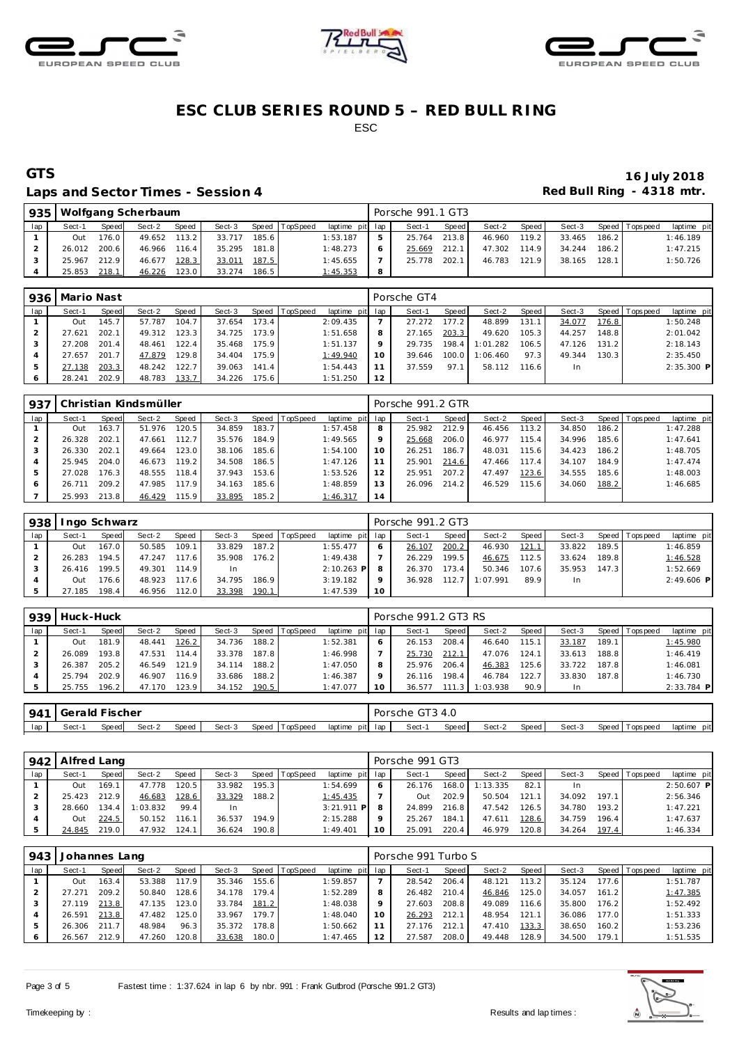





### Laps and Sector Times - Session 4 *Red Bull Ring - 4318 mtr.*

| 935 |              |       | Wolfgang Scherbaum |       |        |       |                |                 |    | Porsche 991.1 GT3 |       |        |         |        |       |                   |             |
|-----|--------------|-------|--------------------|-------|--------|-------|----------------|-----------------|----|-------------------|-------|--------|---------|--------|-------|-------------------|-------------|
| lap | Sect-1       | Speed | Sect-2             | Speed | Sect-3 |       | Speed TopSpeed | laptime pit lap |    | Sect-1            | Speed | Sect-2 | Speed I | Sect-3 |       | Speed   Tops peed | laptime pit |
|     | Out          | 176.0 | 49.652             | 113.2 | 33.717 | 185.6 |                | 1:53.187        |    | 25.764            | 213.8 | 46.960 | 119.2   | 33.465 | 186.2 |                   | 1:46.189    |
|     | 26.012 200.6 |       | 46.966             | 116.4 | 35.295 | 181.8 |                | 1:48.273        |    | 25.669            | 212.1 | 47.302 | 114.9   | 34.244 | 186.2 |                   | 1:47.215    |
|     | 25.967       | 212.9 | 46.677             | 128.3 | 33.011 | 187.5 |                | 1:45.655        |    | 25.778            | 202.1 | 46.783 | 121.9   | 38.165 | 128.1 |                   | 1:50.726    |
|     | 25.853       | 218.1 | 46.226             | 123.0 | 33.274 | 186.5 |                | 1:45.353        | -8 |                   |       |        |         |        |       |                   |             |

|     | 936   Mario Nast |       |        |       |        |       |                |                 |    | Porsche GT4 |       |          |       |        |       |                 |              |
|-----|------------------|-------|--------|-------|--------|-------|----------------|-----------------|----|-------------|-------|----------|-------|--------|-------|-----------------|--------------|
| lap | Sect-1           | Speed | Sect-2 | Speed | Sect-3 |       | Speed TopSpeed | laptime pit lap |    | Sect-1      | Speed | Sect-2   | Speed | Sect-3 |       | Speed Tops peed | laptime pit  |
|     | Out              | 145.7 | 57.787 | 104.7 | 37.654 | 173.4 |                | 2:09.435        |    | 27.272      | 177.2 | 48.899   | 131.1 | 34.077 | 176.8 |                 | 1:50.248     |
|     | 27.621           | 202.1 | 49.312 | 123.3 | 34.725 | 173.9 |                | 1:51.658        | 8  | 27.165      | 203.3 | 49.620   | 105.3 | 44.257 | 148.8 |                 | 2:01.042     |
| 3   | 27.208           | 201.4 | 48.461 | 122.4 | 35.468 | 175.9 |                | 1:51.137        | 9  | 29.735      | 198.4 | 1:01.282 | 106.5 | 47.126 | 131.2 |                 | 2:18.143     |
|     | 27.657           | 201.7 | 47.879 | 129.8 | 34.404 | 175.9 |                | 1:49.940        | 10 | 39.646      | 100.0 | 1:06.460 | 97.3  | 49.344 | 130.3 |                 | 2:35.450     |
| 5   | 27.138           | 203.3 | 48.242 | 122.7 | 39.063 | 141.4 |                | 1:54.443        | 11 | 37.559      | 97.1  | 58.112   | 116.6 | In.    |       |                 | $2:35.300$ P |
| 6   | 28.241           | 202.9 | 48.783 | 133.7 | 34.226 | 175.6 |                | 1:51.250        | 12 |             |       |          |       |        |       |                 |              |

| 937 |        |       | Christian Kindsmüller |       |        |       |                |                 |    | Porsche 991.2 GTR |              |        |       |        |       |                |             |
|-----|--------|-------|-----------------------|-------|--------|-------|----------------|-----------------|----|-------------------|--------------|--------|-------|--------|-------|----------------|-------------|
| lap | Sect-1 | Speed | Sect-2                | Speed | Sect-3 |       | Speed TopSpeed | laptime pit lap |    | Sect-1            | <b>Speed</b> | Sect-2 | Speed | Sect-3 |       | Speed Topspeed | laptime pit |
|     | Out    | 163   | 51.976                | 120.5 | 34.859 | 183.7 |                | 1:57.458        | 8  | 25.982            | 212.9        | 46.456 | 113.2 | 34.850 | 186.2 |                | 1:47.288    |
|     | 26.328 | 202.7 | 47.661                | 112.7 | 35.576 | 184.9 |                | 1:49.565        | 9  | 25.668            | 206.0        | 46.977 | 115.4 | 34.996 | 185.6 |                | 1:47.641    |
|     | 26.330 | 202.  | 49.664                | 123.0 | 38.106 | 185.6 |                | 1:54.100        | 10 | 26.251            | 186.7        | 48.031 | 115.6 | 34.423 | 186.2 |                | 1:48.705    |
|     | 25.945 | 204.0 | 46.673                | 119.2 | 34.508 | 186.5 |                | 1:47.126        | 11 | 25.901            | 214.6        | 47.466 | 117.4 | 34.107 | 184.9 |                | 1:47.474    |
| 5   | 27.028 | 176.3 | 48.555                | 118.4 | 37.943 | 153.6 |                | 1:53.526        | 12 | 25.951            | 207.2        | 47.497 | 123.6 | 34.555 | 185.6 |                | 1:48.003    |
|     | 26.711 | 209.2 | 47.985                | 117.9 | 34.163 | 185.6 |                | 1:48.859        | 13 | 26.096            | 214.2        | 46.529 | 115.6 | 34.060 | 188.2 |                | 1:46.685    |
|     | 25.993 | 213.8 | 46.429                | 115.9 | 33.895 | 185.2 |                | 1:46.317        | 14 |                   |              |        |       |        |       |                |             |

| 938 |            | Ingo Schwarz |        |       |        |       |                  |                 |    | Porsche 991.2 GT3 |       |          |       |        |       |                |              |
|-----|------------|--------------|--------|-------|--------|-------|------------------|-----------------|----|-------------------|-------|----------|-------|--------|-------|----------------|--------------|
| lap | Sect-1     | Speed        | Sect-2 | Speed | Sect-3 |       | Speed   TopSpeed | laptime pit lap |    | Sect-1            | Speed | Sect-2   | Speed | Sect-3 |       | Speed Topspeed | laptime pit  |
|     | <b>Out</b> | 167.0        | 50.585 | 109.1 | 33.829 | 187.2 |                  | 1:55.477        |    | 26.107            | 200.2 | 46.930   | 121.1 | 33.822 | 189.5 |                | 1:46.859     |
|     | 26.283     | 194.5        | 47.247 | 117.6 | 35.908 | 176.2 |                  | 1:49.438        |    | 26.229            | 199.5 | 46.675   | 112.5 | 33.624 | 189.8 |                | 1:46.528     |
|     | 26.416     | 199.5        | 49.301 | 114.9 | -In    |       |                  | $2:10.263$ P    |    | 26.370            | 173.4 | 50.346   | 107.6 | 35.953 | 147.3 |                | 1:52.669     |
|     | <b>Out</b> | 176.6        | 48.923 | 117.6 | 34.795 | 186.9 |                  | 3:19.182        |    | 36.928            | 112.7 | 1:07.991 | 89.9  | In.    |       |                | $2:49.606$ P |
|     | 27.185     | 198.4        | 46.956 | 112.0 | 33.398 | 190.1 |                  | 1:47.539        | 10 |                   |       |          |       |        |       |                |              |

| Sect-1 | Speed                 | Sect-2    | Speed | Sect-3 |       |                |         | Sect-1          |       | Sect-2   | Speed I                         | Sect-3 |       | laptime pit                                |
|--------|-----------------------|-----------|-------|--------|-------|----------------|---------|-----------------|-------|----------|---------------------------------|--------|-------|--------------------------------------------|
| Out    | 181<br>$\overline{9}$ | 48.441    | 126.2 | 34.736 | 188.2 | 1:52.381       | Ô       | 26.153          | 208.4 | 46.640   | 115.1                           | 33.187 | 189.1 | 1:45.980                                   |
| 26.089 | 193.8                 | 47.531    | 114.4 | 33.378 | 187.8 | 1:46.998       |         | 25.730          | 212.1 | 47.076   | 124.1                           | 33.613 |       | 1:46.419                                   |
| 26.387 | 205.2                 | 46.549    | 121.9 | 34.114 | 188.2 | 1:47.050       | 8       | 25.976          | 206.4 | 46.383   | 125.6 <sub>1</sub>              | 33.722 |       | 1:46.081                                   |
| 25.794 | 202.9                 | 46.907    | 116.9 | 33.686 | 188.2 | 1:46.387       | $\circ$ | 26.116          | 198.4 | 46.784   | 122.7                           | 33.830 |       | 1:46.730                                   |
| 25.755 | 196.2                 | 47.170    | 123.9 | 34.152 | 190.5 | 1:47.077       | 10      | 36.577          | 111.3 | 1:03.938 | 90.9                            |        |       | 2:33.784 P                                 |
|        |                       | Huck-Huck |       |        |       | Speed TopSpeed |         | laptime pit lap |       |          | Porsche 991.2 GT3 RS<br>Speed I |        |       | Speed Tops peed<br>188.8<br>187.8<br>187.8 |

| $941 \mid$ | Gerald Fischer |       |        |       |        |                |         |         | GT34.0<br>Porsche |       |        |       |        |         |            |                |
|------------|----------------|-------|--------|-------|--------|----------------|---------|---------|-------------------|-------|--------|-------|--------|---------|------------|----------------|
| lap        | Sect-          | Speed | Sect-2 | Speed | Sect-3 | Speed TopSpeed | laptime | pit lap | Sect-             | Speed | Sect-2 | Speed | Sect-3 | Speed T | T ops peed | pit<br>laptime |

|     | 942 Alfred Lang |              |          |              |        |       |          |                 |         | Porsche 991 GT3 |       |          |       |        |       |                |              |
|-----|-----------------|--------------|----------|--------------|--------|-------|----------|-----------------|---------|-----------------|-------|----------|-------|--------|-------|----------------|--------------|
| lap | Sect-1          | <b>Speed</b> | Sect-2   | <b>Speed</b> | Sect-3 | Speed | TopSpeed | laptime pit lap |         | Sect-1          | Speed | Sect-2   | Speed | Sect-3 |       | Speed Topspeed | laptime pit  |
|     | Out             | 169.1        | 47.778   | 120.5        | 33.982 | 195.3 |          | 1:54.699        | 6       | 26.176          | 168.0 | 1:13.335 | 82.1  | In     |       |                | $2:50.607$ P |
|     | 25.423          | 212.9        | 46.683   | 128.6        | 33.329 | 188.2 |          | 1:45.435        |         | Out             | 202.9 | 50.504   | 121.1 | 34.092 | 197.1 |                | 2:56.346     |
|     | 28.660          | 134.4        | 1:03.832 | 99.4         |        |       |          | $3:21.911$ P 8  |         | 24.899          | 216.8 | 47.542   | 126.5 | 34.780 | 193.2 |                | 1:47.221     |
|     | Out             | 224.5        | 50.152   | 116.1        | 36.537 | 194.9 |          | 2:15.288        | $\circ$ | 25.267          | 184.1 | 47.611   | 128.6 | 34.759 | 196.4 |                | 1:47.637     |
|     | 24.845          | 219.0        | 47.932   | 124.1        | 36.624 | 190.8 |          | 1:49.401        | 10      | 25.091          | 220.4 | 46.979   | 120.8 | 34.264 | 197.4 |                | 1:46.334     |

| 943 | Johannes Lang |       |        |       |        |       |          |                 |         | Porsche 991 Turbo S |       |        |       |        |        |                |             |
|-----|---------------|-------|--------|-------|--------|-------|----------|-----------------|---------|---------------------|-------|--------|-------|--------|--------|----------------|-------------|
| lap | Sect-1        | Speed | Sect-2 | Speed | Sect-3 | Speed | TopSpeed | laptime pit lap |         | Sect-1              | Speed | Sect-2 | Speed | Sect-3 |        | Speed Topspeed | laptime pit |
|     | Out           | 163.4 | 53.388 | 117.9 | 35.346 | 155.6 |          | 1:59.857        |         | 28.542              | 206.4 | 48.121 | 113.2 | 35.124 | 177.61 |                | 1:51.787    |
|     | 27.271        | 209.2 | 50.840 | 128.6 | 34.178 | 179.4 |          | 1:52.289        | 8       | 26.482              | 210.4 | 46.846 | 125.0 | 34.057 | 161.2  |                | 1:47.385    |
|     | 27.119        | 213.8 | 47.135 | 123.0 | 33.784 | 181.2 |          | 1:48.038        | $\circ$ | 27.603              | 208.8 | 49.089 | 116.6 | 35.800 | 176.2  |                | 1:52.492    |
|     | 26.591        | 213.8 | 47.482 | 125.0 | 33.967 | 179.7 |          | 1:48.040        | 10      | 26.293              | 212.1 | 48.954 | 121.1 | 36.086 | 177.0  |                | 1:51.333    |
|     | 26.306        | 211.7 | 48.984 | 96.3  | 35.372 | 178.8 |          | 1:50.662        |         | 27.176              | 212.1 | 47.410 | 133.3 | 38.650 | 160.2  |                | 1:53.236    |
|     | 26.567        | 212.9 | 47.260 | 120.8 | 33.638 | 180.0 |          | 1:47.465        | 12      | 27.587              | 208.0 | 49.448 | 128.9 | 34.500 | 179.1  |                | 1:51.535    |

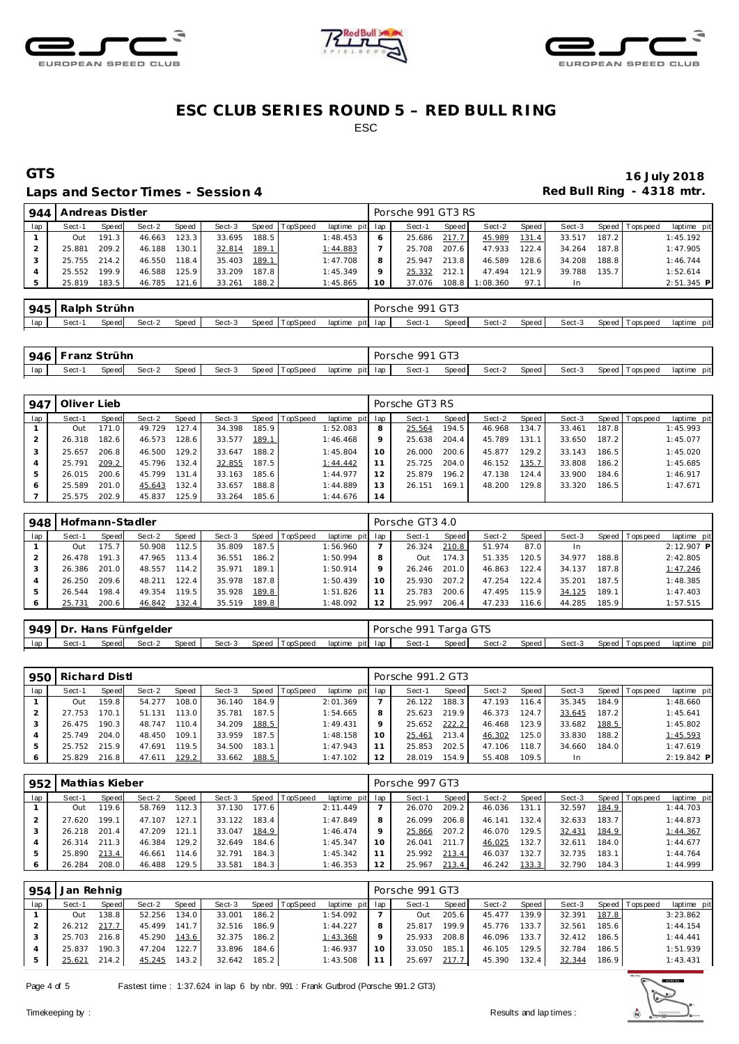





### Laps and Sector Times - Session 4 *Red Bull Ring - 4318 mtr.*

| 944 | Andreas Distler |       |        |       |        |       |          |                 |         | Porsche 991 GT3 RS |       |          |       |        |       |                 |              |
|-----|-----------------|-------|--------|-------|--------|-------|----------|-----------------|---------|--------------------|-------|----------|-------|--------|-------|-----------------|--------------|
| lap | Sect-1          | Speed | Sect-2 | Speed | Sect-3 | Speed | TopSpeed | laptime pit lap |         | Sect-1             | Speed | Sect-2   | Speed | Sect-3 |       | Speed Tops peed | laptime pit  |
|     | Out             | 191.3 | 46.663 | 123.3 | 33.695 | 188.5 |          | 1:48.453        |         | 25.686             | 217.7 | 45.989   | 131.4 | 33.517 | 187.2 |                 | 1:45.192     |
|     | 25.881          | 209.2 | 46.188 | 130.1 | 32.814 | 189.1 |          | 1:44.883        |         | 25.708             | 207.6 | 47.933   | 122.4 | 34.264 | 187.8 |                 | 1:47.905     |
|     | 25.755          | 214.2 | 46.550 | 118.4 | 35.403 | 189.1 |          | 1:47.708        | 8       | 25.947             | 213.8 | 46.589   | 128.6 | 34.208 | 188.8 |                 | 1:46.744     |
|     | 25.552          | 199.9 | 46.588 | 125.9 | 33.209 | 187.8 |          | 1:45.349        | $\circ$ | 25.332             | 212.1 | 47.494   | 121.9 | 39.788 | 135.7 |                 | 1:52.614     |
|     | 25.819          | 183.5 | 46.785 | 121.6 | 33.261 | 188.2 |          | 1:45.865        | 10      | 37.076             | 108.8 | 1:08.360 | 97.1  | In     |       |                 | $2:51.345$ P |

| 945 | Ralph | Strühn |        |       |        |                   |                 |     | $\sim$ $\sim$<br>Porsche<br>w | $\cap$ To<br>$\sim$ $\sim$ |        |       |        |                      |                |
|-----|-------|--------|--------|-------|--------|-------------------|-----------------|-----|-------------------------------|----------------------------|--------|-------|--------|----------------------|----------------|
| lap | Sect- | Speed  | Sect-2 | Speed | Sect-3 | ⊺opSpeed<br>Speed | laptime<br>pitl | lap | Sect-                         | <b>Speed</b>               | Sect-2 | Speed | Sect-3 | Speed T<br>Tops peed | pit<br>laptime |

|     | 946 Franz Strühn |       |        |       |        |                |                 | Porsche | 991 GT3 |        |        |        |                   |             |
|-----|------------------|-------|--------|-------|--------|----------------|-----------------|---------|---------|--------|--------|--------|-------------------|-------------|
| lap | Sect-1           | Speed | Sect-2 | Speed | Sect-3 | Speed TopSpeed | laptime pit lap | Sect-1  | Speed   | Sect-2 | Speed, | Sect-3 | Speed   Tops peed | laptime pit |

| 947 | Oliver Lieb |       |        |       |        |       |          |                 |         | Porsche GT3 RS |       |        |        |        |       |                |             |
|-----|-------------|-------|--------|-------|--------|-------|----------|-----------------|---------|----------------|-------|--------|--------|--------|-------|----------------|-------------|
| lap | Sect-1      | Speed | Sect-2 | Speed | Sect-3 | Speed | TopSpeed | laptime pit lap |         | Sect-1         | Speed | Sect-2 | Speed  | Sect-3 |       | Speed Topspeed | laptime pit |
|     | Out         | 171.0 | 49.729 | 127.4 | 34.398 | 185.9 |          | 1:52.083        | 8       | 25.564         | 194.5 | 46.968 | 134.7. | 33.461 | 187.8 |                | 1:45.993    |
|     | 26.318      | 182.6 | 46.573 | 128.6 | 33.577 | 189.1 |          | 1:46.468        | $\circ$ | 25.638         | 204.4 | 45.789 | 131.1  | 33.650 | 187.2 |                | 1:45.077    |
|     | 25.657      | 206.8 | 46.500 | 129.2 | 33.647 | 188.2 |          | 1:45.804        | 10      | 26.000         | 200.6 | 45.877 | 129.2  | 33.143 | 186.5 |                | 1:45.020    |
|     | 25.791      | 209.2 | 45.796 | 132.4 | 32.855 | 187.5 |          | 1:44.442        |         | 25.725         | 204.0 | 46.152 | 135.7  | 33.808 | 186.2 |                | 1:45.685    |
|     | 26.015      | 200.6 | 45.799 | 131.4 | 33.163 | 185.6 |          | 1:44.977        | 12      | 25.879         | 196.2 | 47.138 | 124.4  | 33.900 | 184.6 |                | 1:46.917    |
|     | 25.589      | 201.0 | 45.643 | 132.4 | 33.657 | 188.8 |          | 1:44.889        | 13      | 26.151         | 169.1 | 48.200 | 129.8  | 33.320 | 186.5 |                | 1:47.671    |
|     | 25.575      | 202.9 | 45.837 | 125.9 | 33.264 | 185.6 |          | 1:44.676        | 14      |                |       |        |        |        |       |                |             |

| 948 | Hofmann-Stadler |           |        |       |        |       |          |                 |    | Porsche GT3 4.0 |         |        |                    |           |       |                |             |
|-----|-----------------|-----------|--------|-------|--------|-------|----------|-----------------|----|-----------------|---------|--------|--------------------|-----------|-------|----------------|-------------|
| lap | Sect-1          | Speed     | Sect-2 | Speed | Sect-3 | Speed | TopSpeed | laptime pit lap |    | Sect-1          | Speed I | Sect-2 | Speed              | Sect-3    |       | Speed Topspeed | laptime pit |
|     | Out             | 175.7     | 50.908 | 112.5 | 35.809 | 187.5 |          | 1:56.960        |    | 26.324          | 210.8   | 51.974 | 87.0               | <b>In</b> |       |                | 2:12.907 P  |
|     | 26.478          | 191<br>.3 | 47.965 | 113.4 | 36.551 | 186.2 |          | 1:50.994        | 8  | Out             | 174.3   | 51.335 | 120.5              | 34.977    | 188.8 |                | 2:42.805    |
|     | 26.386          | 201.0     | 48.557 | 114.2 | 35.971 | 189.1 |          | 1:50.914        |    | 26.246          | 201.0   | 46.863 | 122.4              | 34.137    | 187.8 |                | 1:47.246    |
|     | 26.250          | 209.6     | 48.211 | 122.4 | 35.978 | 187.8 |          | 1:50.439        | 10 | 25.930          | 207.2   | 47.254 | 122.4              | 35.201    | 187.5 |                | 1:48.385    |
|     | 26.544          | 198.4     | 49.354 | 119.5 | 35.928 | 189.8 |          | 1:51.826        |    | 25.783          | 200.6   | 47.495 | 115.9              | 34.125    | 189.1 |                | 1:47.403    |
|     | 25.731          | 200.6     | 46.842 | 132.4 | 35.519 | 189.8 |          | 1:48.092        |    | 25.997          | 206.4   | 47.233 | 116.6 <sub>1</sub> | 44.285    | 185.9 |                | 1:57.515    |
|     |                 |           |        |       |        |       |          |                 |    |                 |         |        |                    |           |       |                |             |

|                                                   | 949 Dr. Hans Fünfgelder |              |  |  |                                             | Porsche 991 Targa GTS |                    |        |                   |             |
|---------------------------------------------------|-------------------------|--------------|--|--|---------------------------------------------|-----------------------|--------------------|--------|-------------------|-------------|
| $\overline{\phantom{a}}$ $\overline{\phantom{a}}$ | Sect-1                  | Speed Sect-2 |  |  | Speed Sect-3 Speed TopSpeed laptime pit lap | Sect-1                | Speed Sect-2 Speed | Sect-3 | Speed   Tops peed | laptime pit |

| 950 | <b>Richard Distl</b> |        |        |       |        |       |          |                 |    | Porsche 991.2 GT3 |       |        |       |           |       |            |              |
|-----|----------------------|--------|--------|-------|--------|-------|----------|-----------------|----|-------------------|-------|--------|-------|-----------|-------|------------|--------------|
| lap | Sect-1               | Speed  | Sect-2 | Speed | Sect-3 | Speed | TopSpeed | laptime pit lap |    | Sect-1            | Speed | Sect-2 | Speed | Sect-3    | Speed | T ops peed | laptime pit  |
|     | Out                  | 159.81 | 54.277 | 108.0 | 36.140 | 184.9 |          | 2:01.369        |    | 26.122            | 188.3 | 47.193 | 116.4 | 35.345    | 184.9 |            | 1:48.660     |
|     | 27.753               | 170.1  | 51.131 | 113.0 | 35.781 | 187.5 |          | 1:54.665        |    | 25.623            | 219.9 | 46.373 | 124.7 | 33.645    | 187.2 |            | 1:45.641     |
|     | 26.475               | 190.3  | 48.747 | 110.4 | 34.209 | 188.5 |          | 1:49.431        |    | 25.652            | 222.2 | 46.468 | 123.9 | 33.682    | 188.5 |            | 1:45.802     |
|     | 25.749               | 204.0  | 48.450 | 109.1 | 33.959 | 187.5 |          | 1:48.158        | 10 | 25.461            | 213.4 | 46.302 | 125.0 | 33.830    | 188.2 |            | 1:45.593     |
|     | 25.752               | 215.9  | 47.691 | 119.5 | 34.500 | 183.1 |          | 1:47.943        |    | 25.853            | 202.5 | 47.106 | 118.7 | 34.660    | 184.0 |            | 1:47.619     |
|     | 25.829               | 216.8  | 47.611 | 129.2 | 33.662 | 188.5 |          | 1:47.102        |    | 28.019            | 154.9 | 55.408 | 109.5 | <b>In</b> |       |            | $2:19.842$ P |

| 952 | Mathias Kieber |        |        |              |        |       |                |                 |    | Porsche 997 GT3 |       |        |       |        |       |                 |             |
|-----|----------------|--------|--------|--------------|--------|-------|----------------|-----------------|----|-----------------|-------|--------|-------|--------|-------|-----------------|-------------|
| lap | Sect-1         | Speed  | Sect-2 | <b>Speed</b> | Sect-3 |       | Speed TopSpeed | laptime pit lap |    | Sect-1          | Speed | Sect-2 | Speed | Sect-3 |       | Speed Tops peed | laptime pit |
|     | Out            | 119.61 | 58.769 | 112.3        | 37.130 | 177.6 |                | 2:11.449        |    | 26.070          | 209.2 | 46.036 | 131.1 | 32.597 | 184.9 |                 | 1:44.703    |
|     | 27.620         | 199.1  | 47.107 | 127.1        | 33.122 | 183.4 |                | 1:47.849        | 8  | 26.099          | 206.8 | 46.141 | 132.4 | 32.633 | 183.7 |                 | 1:44.873    |
|     | 26.218         | 201.4  | 47.209 | 121.1        | 33.047 | 184.9 |                | 1:46.474        |    | 25.866          | 207.2 | 46.070 | 129.5 | 32.431 | 184.9 |                 | 1:44.367    |
|     | 26.314         | 211.3  | 46.384 | 129.2        | 32.649 | 184.6 |                | 1:45.347        | 10 | 26.041          | 211.7 | 46.025 | 132.7 | 32.611 | 184.0 |                 | 1:44.677    |
|     | 25.890         | 213.4  | 46.661 | 114.6        | 32.791 | 184.3 |                | 1:45.342        |    | 25.992          | 213.4 | 46.037 | 132.7 | 32.735 | 183.1 |                 | 1:44.764    |
|     | 26.284         | 208.0  | 46.488 | 129.5        | 33.581 | 184.3 |                | 1:46.353        | 12 | 25.967          | 213.4 | 46.242 | 133.3 | 32.790 | 184.3 |                 | 1:44.999    |

| 954 | Jan Rehnig |       |        |       |        |       |                |                 |    | Porsche 991 GT3 |       |        |         |        |       |                 |             |
|-----|------------|-------|--------|-------|--------|-------|----------------|-----------------|----|-----------------|-------|--------|---------|--------|-------|-----------------|-------------|
| lap | Sect-1     | Speed | Sect-2 | Speed | Sect-3 |       | Speed TopSpeed | laptime pit lap |    | Sect-1          | Speed | Sect-2 | Speed I | Sect-3 |       | Speed Tops peed | laptime pit |
|     | Out        | 138.8 | 52.256 | 134.0 | 33.001 | 186.2 |                | 1:54.092        |    | Out             | 205.6 | 45.477 | 139.9   | 32.391 | 187.8 |                 | 3:23.862    |
|     | 26.212     | 217.7 | 45.499 | 141.7 | 32.516 | 186.9 |                | 1:44.227        |    | 25.817          | 199.9 | 45.776 | 133.7   | 32.561 | 185.6 |                 | 1:44.154    |
|     | 25.703     | 216.8 | 45.290 | 143.6 | 32.375 | 186.2 |                | 1:43.368        |    | 25.933          | 208.8 | 46.096 | 133.7   | 32.412 | 186.5 |                 | 1:44.441    |
|     | 25.837     | 190.3 | 47.204 | 122.7 | 33.896 | 184.6 |                | 1:46.937        | 10 | 33.050          | 185.1 | 46.105 | 129.5   | 32.784 | 186.5 |                 | 1:51.939    |
|     | 25.621     | 214.2 | 45.245 | 143.2 | 32.642 | 185.2 |                | 1:43.508        |    | 25.697          | 217.7 | 45.390 | 132.4   | 32.344 | 186.9 |                 | 1:43.431    |